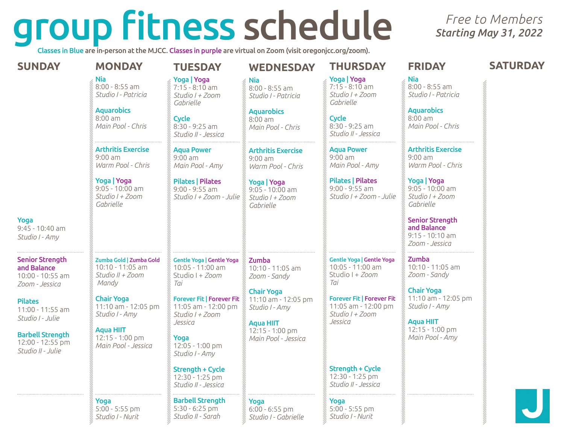# group fitness schedule

Classes in Blue are in-person at the MJCC. Classes in purple are virtual on Zoom (visit oregonjcc.org/zoom).

# *Free to Members Starting May 31, 2022*

| <b>SUNDAY</b>                                                               | <b>MONDAY</b>                                                                                                                   | <b>TUESDAY</b>                                                                                                               | <b>WEDNESDAY</b>                                                                                                                | <b>THURSDAY</b>                                                                                                          | <b>FRIDAY</b>                                                                                                                   | <b>SATURDAY</b> |
|-----------------------------------------------------------------------------|---------------------------------------------------------------------------------------------------------------------------------|------------------------------------------------------------------------------------------------------------------------------|---------------------------------------------------------------------------------------------------------------------------------|--------------------------------------------------------------------------------------------------------------------------|---------------------------------------------------------------------------------------------------------------------------------|-----------------|
|                                                                             | <b>Nia</b><br>$8:00 - 8:55$ am<br>Studio I - Patricia<br><b>Aquarobics</b><br>$8:00$ am<br>Main Pool - Chris                    | Yoga   Yoga<br>$7:15 - 8:10$ am<br>Studio I + Zoom<br>Gabrielle<br><b>Cycle</b><br>8:30 - 9:25 am<br>Studio II - Jessica     | <b>Nia</b><br>$8:00 - 8:55$ am<br>Studio I - Patricia<br><b>Aquarobics</b><br>$8:00$ am<br>Main Pool - Chris                    | Yoga   Yoga<br>$7:15 - 8:10$ am<br>Studio I + Zoom<br>Gabrielle<br><b>Cycle</b><br>8:30 - 9:25 am<br>Studio II - Jessica | <b>Nia</b><br>$8:00 - 8:55$ am<br>Studio I - Patricia<br><b>Aquarobics</b><br>$8:00$ am<br>Main Pool - Chris                    |                 |
|                                                                             | <b>Arthritis Exercise</b><br>$9:00$ am<br>Warm Pool - Chris<br>Yoga   Yoga<br>$9:05 - 10:00$ am<br>Studio I + Zoom<br>Gabrielle | <b>Aqua Power</b><br>$9:00$ am<br>Main Pool - Amy<br><b>Pilates   Pilates</b><br>$9:00 - 9:55$ am<br>Studio I + Zoom - Julie | <b>Arthritis Exercise</b><br>$9:00$ am<br>Warm Pool - Chris<br>Yoga   Yoga<br>$9:05 - 10:00$ am<br>Studio I + Zoom<br>Gabrielle | Agua Power<br>$9:00$ am<br>Main Pool - Amy<br><b>Pilates   Pilates</b><br>$9:00 - 9:55$ am<br>Studio I + Zoom - Julie    | <b>Arthritis Exercise</b><br>$9:00$ am<br>Warm Pool - Chris<br>Yoga   Yoga<br>$9:05 - 10:00$ am<br>Studio I + Zoom<br>Gabrielle |                 |
| Yoga<br>9:45 - 10:40 am<br>Studio I - Amy                                   |                                                                                                                                 |                                                                                                                              |                                                                                                                                 |                                                                                                                          | <b>Senior Strength</b><br>and Balance<br>$9:15 - 10:10$ am<br>Zoom - Jessica                                                    |                 |
| <b>Senior Strength</b><br>and Balance<br>10:00 - 10:55 am<br>Zoom - Jessica | Zumba Gold   Zumba Gold<br>10:10 - 11:05 am<br>Studio II + Zoom<br>Mandy                                                        | <b>Gentle Yoga   Gentle Yoga</b><br>10:05 - 11:00 am<br>Studio I + Zoom<br>Tai                                               | Zumba<br>$10:10 - 11:05$ am<br>Zoom - Sandy                                                                                     | <b>Gentle Yoga   Gentle Yoga</b><br>10:05 - 11:00 am<br>Studio I + Zoom<br>Tai                                           | Zumba<br>10:10 - 11:05 am<br>Zoom - Sandy                                                                                       |                 |
| <b>Pilates</b><br>11:00 - 11:55 am<br>Studio I - Julie                      | <b>Chair Yoga</b><br>11:10 am - 12:05 pm<br>Studio I - Amy                                                                      | <b>Forever Fit   Forever Fit</b><br>11:05 am - 12:00 pm<br>Studio I + Zoom<br>Jessica                                        | <b>Chair Yoga</b><br>11:10 am - 12:05 pm<br>Studio I - Amy<br><b>Aqua HIIT</b>                                                  | <b>Forever Fit   Forever Fit</b><br>11:05 am - 12:00 pm<br>Studio I + Zoom<br>Jessica                                    | <b>Chair Yoga</b><br>11:10 am - 12:05 pm<br>Studio I - Amy<br><b>Aqua HIIT</b>                                                  |                 |
| <b>Barbell Strength</b><br>12:00 - 12:55 pm<br>Studio II - Julie            | <b>Aqua HIIT</b><br>12:15 - 1:00 pm<br>Main Pool - Jessica                                                                      | Yoga<br>12:05 - 1:00 pm<br>Studio I - Amy                                                                                    | 12:15 - 1:00 pm<br>Main Pool - Jessica                                                                                          |                                                                                                                          | 12:15 - 1:00 pm<br>Main Pool - Amy                                                                                              |                 |
|                                                                             |                                                                                                                                 | <b>Strength + Cycle</b><br>12:30 - 1:25 pm<br>Studio II - Jessica                                                            |                                                                                                                                 | <b>Strength + Cycle</b><br>12:30 - 1:25 pm<br>Studio II - Jessica                                                        |                                                                                                                                 |                 |
|                                                                             | Yoga<br>$5:00 - 5:55$ pm<br>Studio I - Nurit                                                                                    | <b>Barbell Strength</b><br>$5:30 - 6:25$ pm<br>Studio II - Sarah                                                             | Yoga<br>$6:00 - 6:55$ pm<br>Studio I - Gabrielle                                                                                | Yoga<br>$5:00 - 5:55$ pm<br>Studio I - Nurit                                                                             |                                                                                                                                 |                 |